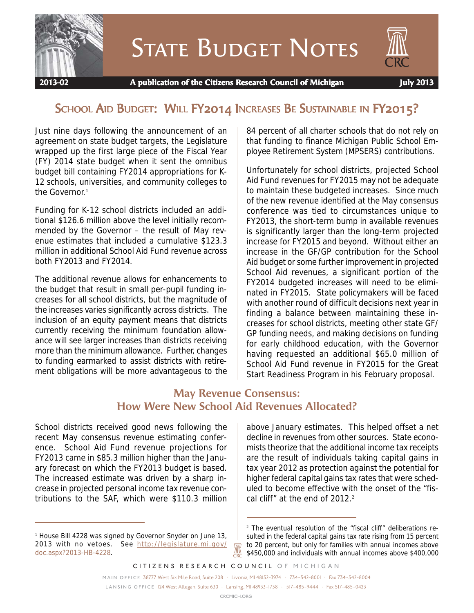

**STATE BUDGET NOTES** 

# SCHOOL AID BUDGET: WILL FY2014 INCREASES BE SUSTAINABLE IN FY2015?

Just nine days following the announcement of an agreement on state budget targets, the Legislature wrapped up the first large piece of the Fiscal Year (FY) 2014 state budget when it sent the omnibus budget bill containing FY2014 appropriations for K-12 schools, universities, and community colleges to the Governor.<sup>1</sup>

Funding for K-12 school districts included an additional \$126.6 million above the level initially recommended by the Governor – the result of May revenue estimates that included a cumulative \$123.3 million in additional School Aid Fund revenue across both FY2013 and FY2014.

The additional revenue allows for enhancements to the budget that result in small per-pupil funding increases for all school districts, but the magnitude of the increases varies significantly across districts. The inclusion of an equity payment means that districts currently receiving the minimum foundation allowance will see larger increases than districts receiving more than the minimum allowance. Further, changes to funding earmarked to assist districts with retirement obligations will be more advantageous to the

84 percent of all charter schools that do not rely on that funding to finance Michigan Public School Employee Retirement System (MPSERS) contributions.

Unfortunately for school districts, projected School Aid Fund revenues for FY2015 may not be adequate to maintain these budgeted increases. Since much of the new revenue identified at the May consensus conference was tied to circumstances unique to FY2013, the short-term bump in available revenues is significantly larger than the long-term projected increase for FY2015 and beyond. Without either an increase in the GF/GP contribution for the School Aid budget or some further improvement in projected School Aid revenues, a significant portion of the FY2014 budgeted increases will need to be eliminated in FY2015. State policymakers will be faced with another round of difficult decisions next year in finding a balance between maintaining these increases for school districts, meeting other state GF/ GP funding needs, and making decisions on funding for early childhood education, with the Governor having requested an additional \$65.0 million of School Aid Fund revenue in FY2015 for the Great Start Readiness Program in his February proposal.

## **May Revenue Consensus: How Were New School Aid Revenues Allocated?**

School districts received good news following the recent May consensus revenue estimating conference. School Aid Fund revenue projections for FY2013 came in \$85.3 million higher than the January forecast on which the FY2013 budget is based. The increased estimate was driven by a sharp increase in projected personal income tax revenue contributions to the SAF, which were \$110.3 million above January estimates. This helped offset a net decline in revenues from other sources. State economists theorize that the additional income tax receipts are the result of individuals taking capital gains in tax year 2012 as protection against the potential for higher federal capital gains tax rates that were scheduled to become effective with the onset of the "fiscal cliff" at the end of 2012.<sup>2</sup>

*CITIZENS RESEARCH COUNCIL OF MICHIGAN*

*MAIN OFFICE* 38777 West Six Mile Road, Suite 208 • Livonia, MI 48152-3974 • 734-542-8001 • Fax 734-542-8004 *LANSING OFFICE* 124 West Allegan, Suite 630 • Lansing, MI 48933-1738 • 517-485-9444 • Fax 517-485-0423

<sup>&</sup>lt;sup>1</sup> House Bill 4228 was signed by Governor Snyder on June 13, 2013 with no vetoes. See http://legislature.mi.gov/ doc.aspx?2013-HB-4228.

<sup>2</sup> The eventual resolution of the "fiscal cliff" deliberations resulted in the federal capital gains tax rate rising from 15 percent to 20 percent, but only for families with annual incomes above \$450,000 and individuals with annual incomes above \$400,000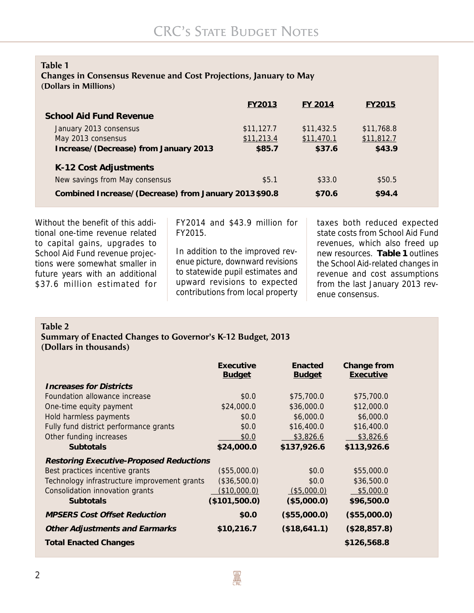### **Table 1**

### **Changes in Consensus Revenue and Cost Projections, January to May (Dollars in Millions)**

|                                                      | <b>FY2013</b> | FY 2014    | <b>FY2015</b> |  |
|------------------------------------------------------|---------------|------------|---------------|--|
| <b>School Aid Fund Revenue</b>                       |               |            |               |  |
| January 2013 consensus                               | \$11,127.7    | \$11,432.5 | \$11,768.8    |  |
| May 2013 consensus                                   | \$11,213.4    | \$11,470.1 | \$11,812.7    |  |
| Increase/(Decrease) from January 2013                | \$85.7        | \$37.6     | \$43.9        |  |
| K-12 Cost Adjustments                                |               |            |               |  |
| New savings from May consensus                       | \$5.1         | \$33.0     | \$50.5        |  |
| Combined Increase/(Decrease) from January 2013\$90.8 |               | \$70.6     | \$94.4        |  |

Without the benefit of this additional one-time revenue related to capital gains, upgrades to School Aid Fund revenue projections were somewhat smaller in future years with an additional \$37.6 million estimated for

FY2014 and \$43.9 million for FY2015.

In addition to the improved revenue picture, downward revisions to statewide pupil estimates and upward revisions to expected contributions from local property

taxes both reduced expected state costs from School Aid Fund revenues, which also freed up new resources. **Table 1** outlines the School Aid-related changes in revenue and cost assumptions from the last January 2013 revenue consensus.

### **Table 2**

### **Summary of Enacted Changes to Governor's K-12 Budget, 2013 (Dollars in thousands)**

|                                                | Executive<br><b>Budget</b> | Enacted<br><b>Budget</b> | Change from<br>Executive |
|------------------------------------------------|----------------------------|--------------------------|--------------------------|
| <b>Increases for Districts</b>                 |                            |                          |                          |
| Foundation allowance increase                  | \$0.0                      | \$75,700.0               | \$75,700.0               |
| One-time equity payment                        | \$24,000.0                 | \$36,000.0               | \$12,000.0               |
| Hold harmless payments                         | \$0.0                      | \$6,000.0                | \$6,000.0                |
| Fully fund district performance grants         | \$0.0                      | \$16,400.0               | \$16,400.0               |
| Other funding increases                        | \$0.0                      | \$3,826.6                | \$3,826.6                |
| <b>Subtotals</b>                               | \$24,000.0                 | \$137,926.6              | \$113,926.6              |
| <b>Restoring Executive-Proposed Reductions</b> |                            |                          |                          |
| Best practices incentive grants                | (\$55,000.0)               | \$0.0                    | \$55,000.0               |
| Technology infrastructure improvement grants   | (\$36,500.0)               | \$0.0                    | \$36,500.0               |
| Consolidation innovation grants                | <u>(\$10,000.0)</u>        | $($ \$5,000.0)           | \$5,000.0                |
| <b>Subtotals</b>                               | (\$101,500.0)              | (\$5,000.0)              | \$96,500.0               |
| <b>MPSERS Cost Offset Reduction</b>            | \$0.0                      | (\$55,000.0)             | (\$55,000.0)             |
| <b>Other Adjustments and Earmarks</b>          | \$10,216.7                 | (\$18,641.1)             | (\$28,857.8)             |
| <b>Total Enacted Changes</b>                   |                            |                          | \$126,568.8              |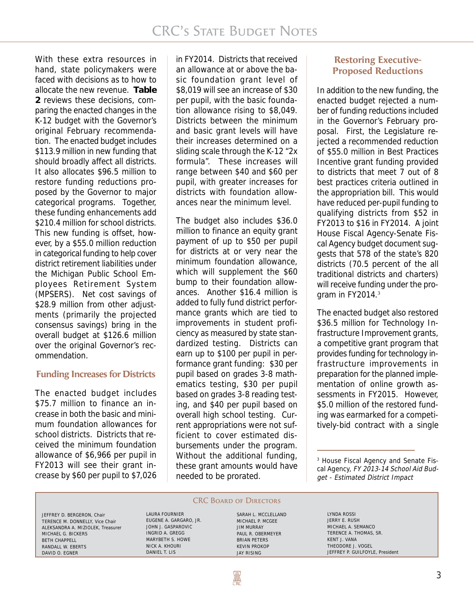With these extra resources in hand, state policymakers were faced with decisions as to how to allocate the new revenue. **Table 2** reviews these decisions, comparing the enacted changes in the K-12 budget with the Governor's original February recommendation. The enacted budget includes \$113.9 million in new funding that should broadly affect all districts. It also allocates \$96.5 million to restore funding reductions proposed by the Governor to major categorical programs. Together, these funding enhancements add \$210.4 million for school districts. This new funding is offset, however, by a \$55.0 million reduction in categorical funding to help cover district retirement liabilities under the Michigan Public School Employees Retirement System (MPSERS). Net cost savings of \$28.9 million from other adjustments (primarily the projected consensus savings) bring in the overall budget at \$126.6 million over the original Governor's recommendation.

### **Funding Increases for Districts**

The enacted budget includes \$75.7 million to finance an increase in both the basic and minimum foundation allowances for school districts. Districts that received the minimum foundation allowance of \$6,966 per pupil in FY2013 will see their grant increase by \$60 per pupil to \$7,026

in FY2014. Districts that received an allowance at or above the basic foundation grant level of \$8,019 will see an increase of \$30 per pupil, with the basic foundation allowance rising to \$8,049. Districts between the minimum and basic grant levels will have their increases determined on a sliding scale through the K-12 "2x formula". These increases will range between \$40 and \$60 per pupil, with greater increases for districts with foundation allowances near the minimum level.

The budget also includes \$36.0 million to finance an equity grant payment of up to \$50 per pupil for districts at or very near the minimum foundation allowance, which will supplement the \$60 bump to their foundation allowances. Another \$16.4 million is added to fully fund district performance grants which are tied to improvements in student proficiency as measured by state standardized testing. Districts can earn up to \$100 per pupil in performance grant funding: \$30 per pupil based on grades 3-8 mathematics testing, \$30 per pupil based on grades 3-8 reading testing, and \$40 per pupil based on overall high school testing. Current appropriations were not sufficient to cover estimated disbursements under the program. Without the additional funding, these grant amounts would have needed to be prorated.

## **Restoring Executive-Proposed Reductions**

In addition to the new funding, the enacted budget rejected a number of funding reductions included in the Governor's February proposal. First, the Legislature rejected a recommended reduction of \$55.0 million in Best Practices Incentive grant funding provided to districts that meet 7 out of 8 best practices criteria outlined in the appropriation bill. This would have reduced per-pupil funding to qualifying districts from \$52 in FY2013 to \$16 in FY2014. A joint House Fiscal Agency-Senate Fiscal Agency budget document suggests that 578 of the state's 820 districts (70.5 percent of the all traditional districts and charters) will receive funding under the program in FY2014.<sup>3</sup>

The enacted budget also restored \$36.5 million for Technology Infrastructure Improvement grants, a competitive grant program that provides funding for technology infrastructure improvements in preparation for the planned implementation of online growth assessments in FY2015. However, \$5.0 million of the restored funding was earmarked for a competitively-bid contract with a single

3 House Fiscal Agency and Senate Fiscal Agency, FY 2013-14 School Aid Budget - Estimated District Impact

JEFFREY D. BERGERON, Chair TERENCE M. DONNELLY, Vice Chair ALEKSANDRA A. MIZIOLEK, Treasurer MICHAEL G. BICKERS BETH CHAPPELL RANDALL W. EBERTS DAVID O. EGNER

# **CRC BOARD OF DIRECTORS**

EUGENE A. GARGARO, JR. JOHN J. GASPAROVIC

LAURA FOURNIER

INGRID A. GREGG MARYBETH S. HOWE NICK A. KHOURI DANIEL T. LIS

SARAH L. MCCLELLAND MICHAEL P. MCGEE JIM MURRAY PAUL R. OBERMEYER BRIAN PETERS KEVIN PROKOP JAY RISING

LYNDA ROSSI JERRY E. RUSH MICHAEL A. SEMANCO TERENCE A. THOMAS, SR. KENT J. VANA THEODORE J. VOGEL JEFFREY P. GUILFOYLE, President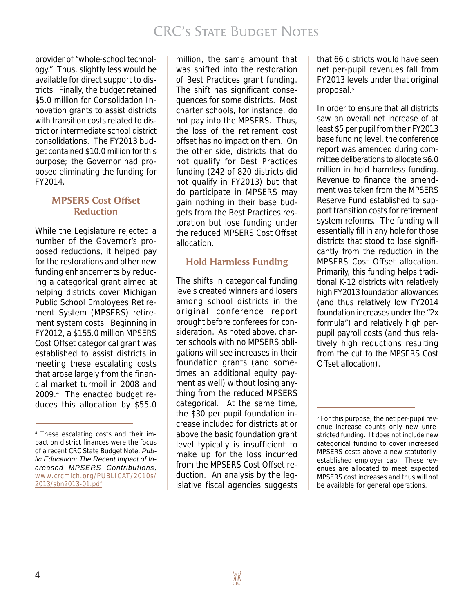provider of "whole-school technology." Thus, slightly less would be available for direct support to districts. Finally, the budget retained \$5.0 million for Consolidation Innovation grants to assist districts with transition costs related to district or intermediate school district consolidations. The FY2013 budget contained \$10.0 million for this purpose; the Governor had proposed eliminating the funding for FY2014.

## **MPSERS Cost Offset Reduction**

While the Legislature rejected a number of the Governor's proposed reductions, it helped pay for the restorations and other new funding enhancements by reducing a categorical grant aimed at helping districts cover Michigan Public School Employees Retirement System (MPSERS) retirement system costs. Beginning in FY2012, a \$155.0 million MPSERS Cost Offset categorical grant was established to assist districts in meeting these escalating costs that arose largely from the financial market turmoil in 2008 and 2009.<sup>4</sup> The enacted budget reduces this allocation by \$55.0

million, the same amount that was shifted into the restoration of Best Practices grant funding. The shift has significant consequences for some districts. Most charter schools, for instance, do not pay into the MPSERS. Thus, the loss of the retirement cost offset has no impact on them. On the other side, districts that do not qualify for Best Practices funding (242 of 820 districts did not qualify in FY2013) but that do participate in MPSERS may gain nothing in their base budgets from the Best Practices restoration but lose funding under the reduced MPSERS Cost Offset allocation.

## **Hold Harmless Funding**

The shifts in categorical funding levels created winners and losers among school districts in the original conference report brought before conferees for consideration. As noted above, charter schools with no MPSERS obligations will see increases in their foundation grants (and sometimes an additional equity payment as well) without losing anything from the reduced MPSERS categorical. At the same time, the \$30 per pupil foundation increase included for districts at or above the basic foundation grant level typically is insufficient to make up for the loss incurred from the MPSERS Cost Offset reduction. An analysis by the legislative fiscal agencies suggests

that 66 districts would have seen net per-pupil revenues fall from FY2013 levels under that original proposal.<sup>5</sup>

In order to ensure that all districts saw an overall net increase of at least \$5 per pupil from their FY2013 base funding level, the conference report was amended during committee deliberations to allocate \$6.0 million in hold harmless funding. Revenue to finance the amendment was taken from the MPSERS Reserve Fund established to support transition costs for retirement system reforms. The funding will essentially fill in any hole for those districts that stood to lose significantly from the reduction in the MPSERS Cost Offset allocation. Primarily, this funding helps traditional K-12 districts with relatively high FY2013 foundation allowances (and thus relatively low FY2014 foundation increases under the "2x formula") and relatively high perpupil payroll costs (and thus relatively high reductions resulting from the cut to the MPSERS Cost Offset allocation).

<sup>4</sup> These escalating costs and their impact on district finances were the focus of a recent CRC State Budget Note, *Public Education: The Recent Impact of Increased MPSERS Contributions*, www.crcmich.org/PUBLICAT/2010s/ 2013/sbn2013-01.pdf

<sup>5</sup> For this purpose, the net per-pupil revenue increase counts only new unrestricted funding. It does not include new categorical funding to cover increased MPSERS costs above a new statutorilyestablished employer cap. These revenues are allocated to meet expected MPSERS cost increases and thus will not be available for general operations.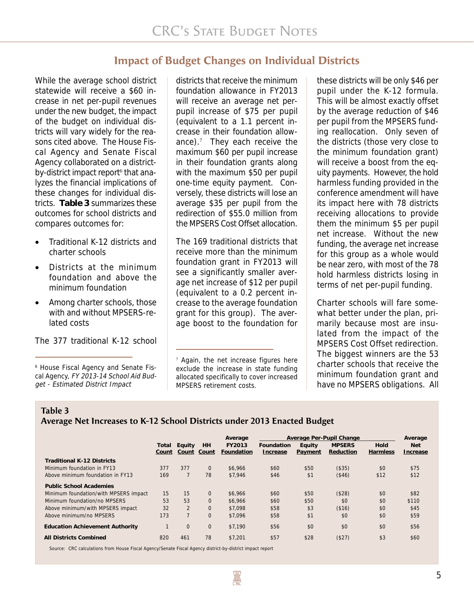# **Impact of Budget Changes on Individual Districts**

While the average school district statewide will receive a \$60 increase in net per-pupil revenues under the new budget, the impact of the budget on individual districts will vary widely for the reasons cited above. The House Fiscal Agency and Senate Fiscal Agency collaborated on a districtby-district impact report<sup>6</sup> that analyzes the financial implications of these changes for individual districts. **Table 3** summarizes these outcomes for school districts and compares outcomes for:

- Traditional K-12 districts and charter schools
- Districts at the minimum foundation and above the minimum foundation
- Among charter schools, those with and without MPSERS-related costs

The 377 traditional K-12 school

6 House Fiscal Agency and Senate Fiscal Agency, FY 2013-14 School Aid Budget - Estimated District Impact

districts that receive the minimum foundation allowance in FY2013 will receive an average net perpupil increase of \$75 per pupil (equivalent to a 1.1 percent increase in their foundation allowance).<sup>7</sup> They each receive the maximum \$60 per pupil increase in their foundation grants along with the maximum \$50 per pupil one-time equity payment. Conversely, these districts will lose an average \$35 per pupil from the redirection of \$55.0 million from the MPSERS Cost Offset allocation.

The 169 traditional districts that receive more than the minimum foundation grant in FY2013 will see a significantly smaller average net increase of \$12 per pupil (equivalent to a 0.2 percent increase to the average foundation grant for this group). The average boost to the foundation for

these districts will be only \$46 per pupil under the K-12 formula. This will be almost exactly offset by the average reduction of \$46 per pupil from the MPSERS funding reallocation. Only seven of the districts (those very close to the minimum foundation grant) will receive a boost from the equity payments. However, the hold harmless funding provided in the conference amendment will have its impact here with 78 districts receiving allocations to provide them the minimum \$5 per pupil net increase. Without the new funding, the average net increase for this group as a whole would be near zero, with most of the 78 hold harmless districts losing in terms of net per-pupil funding.

Charter schools will fare somewhat better under the plan, primarily because most are insulated from the impact of the MPSERS Cost Offset redirection. The biggest winners are the 53 charter schools that receive the minimum foundation grant and have no MPSERS obligations. All

**Table 3**

## **Average Net Increases to K-12 School Districts under 2013 Enacted Budget**

|                                        |                |                 |              | Average              | Average Per-Pupil Change |                   |                            | Average          |                        |
|----------------------------------------|----------------|-----------------|--------------|----------------------|--------------------------|-------------------|----------------------------|------------------|------------------------|
|                                        | Total<br>Count | Equity<br>Count | HH<br>Count  | FY2013<br>Foundation | Foundation<br>Increase   | Equity<br>Payment | <b>MPSERS</b><br>Reduction | Hold<br>Harmless | <b>Net</b><br>Increase |
| <b>Traditional K-12 Districts</b>      |                |                 |              |                      |                          |                   |                            |                  |                        |
| Minimum foundation in FY13             | 377            | 377             | $\mathbf{0}$ | \$6.966              | \$60                     | \$50              | (\$35)                     | \$0              | \$75                   |
| Above minimum foundation in FY13       | 169            | $\overline{7}$  | 78           | \$7.946              | \$46                     | \$1               | (\$46)                     | \$12             | \$12                   |
| <b>Public School Academies</b>         |                |                 |              |                      |                          |                   |                            |                  |                        |
| Minimum foundation/with MPSERS impact  | 15             | 15              | $\mathbf{0}$ | \$6.966              | \$60                     | \$50              | (\$28)                     | \$0              | \$82                   |
| Minimum foundation/no MPSERS           | 53             | 53              | $\Omega$     | \$6.966              | \$60                     | \$50              | \$0                        | \$0              | \$110                  |
| Above minimum/with MPSERS impact       | 32             | $\overline{2}$  | $\mathbf{0}$ | \$7.098              | \$58                     | \$3               | (\$16)                     | \$0              | \$45                   |
| Above minimum/no MPSERS                | 173            | $\overline{7}$  | $\Omega$     | \$7.096              | \$58                     | \$1               | \$0                        | \$0              | \$59                   |
| <b>Education Achievement Authority</b> |                | $\Omega$        | $\mathbf{0}$ | \$7.190              | \$56                     | \$0               | \$0                        | \$0              | \$56                   |
| <b>All Districts Combined</b>          | 820            | 461             | 78           | \$7.201              | \$57                     | \$28              | (\$27)                     | \$3              | \$60                   |

Source: CRC calculations from House Fiscal Agency/Senate Fiscal Agency district-by-district impact report

<sup>7</sup> Again, the net increase figures here exclude the increase in state funding allocated specifically to cover increased MPSERS retirement costs.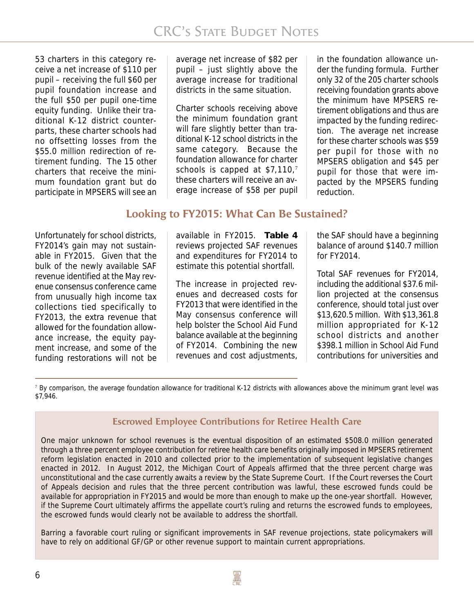53 charters in this category receive a net increase of \$110 per pupil – receiving the full \$60 per pupil foundation increase and the full \$50 per pupil one-time equity funding. Unlike their traditional K-12 district counterparts, these charter schools had no offsetting losses from the \$55.0 million redirection of retirement funding. The 15 other charters that receive the minimum foundation grant but do participate in MPSERS will see an

average net increase of \$82 per pupil – just slightly above the average increase for traditional districts in the same situation.

Charter schools receiving above the minimum foundation grant will fare slightly better than traditional K-12 school districts in the same category. Because the foundation allowance for charter schools is capped at \$7,110,7 these charters will receive an average increase of \$58 per pupil

in the foundation allowance under the funding formula. Further only 32 of the 205 charter schools receiving foundation grants above the minimum have MPSERS retirement obligations and thus are impacted by the funding redirection. The average net increase for these charter schools was \$59 per pupil for those with no MPSERS obligation and \$45 per pupil for those that were impacted by the MPSERS funding reduction.

## **Looking to FY2015: What Can Be Sustained?**

Unfortunately for school districts, FY2014's gain may not sustainable in FY2015. Given that the bulk of the newly available SAF revenue identified at the May revenue consensus conference came from unusually high income tax collections tied specifically to FY2013, the extra revenue that allowed for the foundation allowance increase, the equity payment increase, and some of the funding restorations will not be

available in FY2015. **Table 4** reviews projected SAF revenues and expenditures for FY2014 to estimate this potential shortfall.

The increase in projected revenues and decreased costs for FY2013 that were identified in the May consensus conference will help bolster the School Aid Fund balance available at the beginning of FY2014. Combining the new revenues and cost adjustments,

the SAF should have a beginning balance of around \$140.7 million for FY2014.

Total SAF revenues for FY2014, including the additional \$37.6 million projected at the consensus conference, should total just over \$13,620.5 million. With \$13,361.8 million appropriated for K-12 school districts and another \$398.1 million in School Aid Fund contributions for universities and

<sup>7</sup> By comparison, the average foundation allowance for traditional K-12 districts with allowances above the minimum grant level was \$7,946.

## **Escrowed Employee Contributions for Retiree Health Care**

One major unknown for school revenues is the eventual disposition of an estimated \$508.0 million generated through a three percent employee contribution for retiree health care benefits originally imposed in MPSERS retirement reform legislation enacted in 2010 and collected prior to the implementation of subsequent legislative changes enacted in 2012. In August 2012, the Michigan Court of Appeals affirmed that the three percent charge was unconstitutional and the case currently awaits a review by the State Supreme Court. If the Court reverses the Court of Appeals decision and rules that the three percent contribution was lawful, these escrowed funds could be available for appropriation in FY2015 and would be more than enough to make up the one-year shortfall. However, if the Supreme Court ultimately affirms the appellate court's ruling and returns the escrowed funds to employees, the escrowed funds would clearly not be available to address the shortfall.

Barring a favorable court ruling or significant improvements in SAF revenue projections, state policymakers will have to rely on additional GF/GP or other revenue support to maintain current appropriations.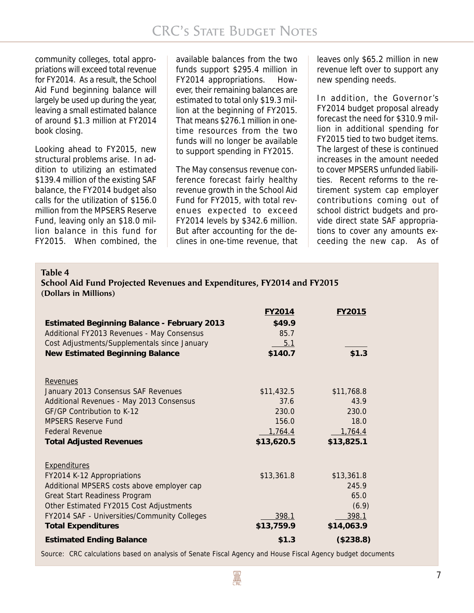community colleges, total appropriations will exceed total revenue for FY2014. As a result, the School Aid Fund beginning balance will largely be used up during the year, leaving a small estimated balance of around \$1.3 million at FY2014 book closing.

Looking ahead to FY2015, new structural problems arise. In addition to utilizing an estimated \$139.4 million of the existing SAF balance, the FY2014 budget also calls for the utilization of \$156.0 million from the MPSERS Reserve Fund, leaving only an \$18.0 million balance in this fund for FY2015. When combined, the

available balances from the two funds support \$295.4 million in FY2014 appropriations. However, their remaining balances are estimated to total only \$19.3 million at the beginning of FY2015. That means \$276.1 million in onetime resources from the two funds will no longer be available to support spending in FY2015.

The May consensus revenue conference forecast fairly healthy revenue growth in the School Aid Fund for FY2015, with total revenues expected to exceed FY2014 levels by \$342.6 million. But after accounting for the declines in one-time revenue, that

leaves only \$65.2 million in new revenue left over to support any new spending needs.

In addition, the Governor's FY2014 budget proposal already forecast the need for \$310.9 million in additional spending for FY2015 tied to two budget items. The largest of these is continued increases in the amount needed to cover MPSERS unfunded liabilities. Recent reforms to the retirement system cap employer contributions coming out of school district budgets and provide direct state SAF appropriations to cover any amounts exceeding the new cap. As of

**Table 4**

| School Aid Fund Projected Revenues and Expenditures, FY2014 and FY2015 |  |
|------------------------------------------------------------------------|--|
| (Dollars in Millions)                                                  |  |

| <b>Estimated Beginning Balance - February 2013</b><br>Additional FY2013 Revenues - May Consensus<br>Cost Adjustments/Supplementals since January<br><b>New Estimated Beginning Balance</b>                                                               | FY2014<br>\$49.9<br>85.7<br>5.1<br>\$140.7                    | FY2015<br>\$1.3                                              |
|----------------------------------------------------------------------------------------------------------------------------------------------------------------------------------------------------------------------------------------------------------|---------------------------------------------------------------|--------------------------------------------------------------|
| Revenues<br>January 2013 Consensus SAF Revenues<br>Additional Revenues - May 2013 Consensus<br>GF/GP Contribution to K-12<br><b>MPSERS Reserve Fund</b><br><b>Federal Revenue</b><br><b>Total Adjusted Revenues</b>                                      | \$11,432.5<br>37.6<br>230.0<br>156.0<br>1,764.4<br>\$13,620.5 | \$11,768.8<br>43.9<br>230.0<br>18.0<br>1,764.4<br>\$13,825.1 |
| <b>Expenditures</b><br>FY2014 K-12 Appropriations<br>Additional MPSERS costs above employer cap<br>Great Start Readiness Program<br>Other Estimated FY2015 Cost Adjustments<br>FY2014 SAF - Universities/Community Colleges<br><b>Total Expenditures</b> | \$13,361.8<br>398.1<br>\$13,759.9                             | \$13,361.8<br>245.9<br>65.0<br>(6.9)<br>398.1<br>\$14,063.9  |
| <b>Estimated Ending Balance</b>                                                                                                                                                                                                                          | \$1.3                                                         | (\$238.8)                                                    |

Source: CRC calculations based on analysis of Senate Fiscal Agency and House Fiscal Agency budget documents